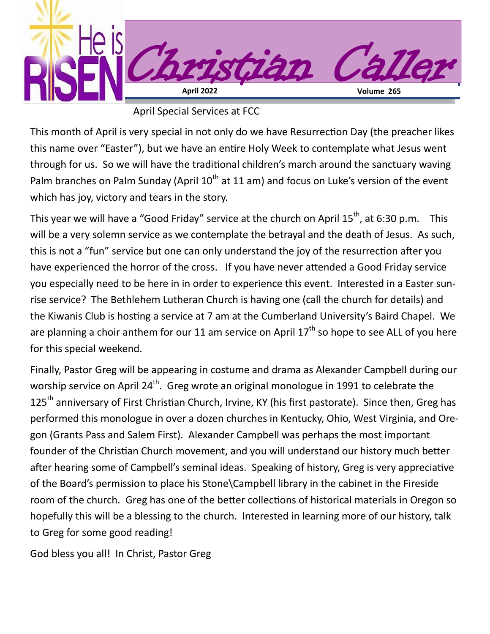

April Special Services at FCC

This month of April is very special in not only do we have Resurrection Day (the preacher likes this name over "Easter"), but we have an entire Holy Week to contemplate what Jesus went through for us. So we will have the traditional children's march around the sanctuary waving Palm branches on Palm Sunday (April  $10^{th}$  at 11 am) and focus on Luke's version of the event which has joy, victory and tears in the story.

This year we will have a "Good Friday" service at the church on April  $15^{th}$ , at 6:30 p.m. This will be a very solemn service as we contemplate the betrayal and the death of Jesus. As such, this is not a "fun" service but one can only understand the joy of the resurrection after you have experienced the horror of the cross. If you have never attended a Good Friday service you especially need to be here in in order to experience this event. Interested in a Easter sunrise service? The Bethlehem Lutheran Church is having one (call the church for details) and the Kiwanis Club is hosting a service at 7 am at the Cumberland University's Baird Chapel. We are planning a choir anthem for our 11 am service on April  $17<sup>th</sup>$  so hope to see ALL of you here for this special weekend.

Finally, Pastor Greg will be appearing in costume and drama as Alexander Campbell during our worship service on April 24<sup>th</sup>. Greg wrote an original monologue in 1991 to celebrate the 125<sup>th</sup> anniversary of First Christian Church, Irvine, KY (his first pastorate). Since then, Greg has performed this monologue in over a dozen churches in Kentucky, Ohio, West Virginia, and Oregon (Grants Pass and Salem First). Alexander Campbell was perhaps the most important founder of the Christian Church movement, and you will understand our history much better after hearing some of Campbell's seminal ideas. Speaking of history, Greg is very appreciative of the Board's permission to place his Stone\Campbell library in the cabinet in the Fireside room of the church. Greg has one of the better collections of historical materials in Oregon so hopefully this will be a blessing to the church. Interested in learning more of our history, talk to Greg for some good reading!

God bless you all! In Christ, Pastor Greg